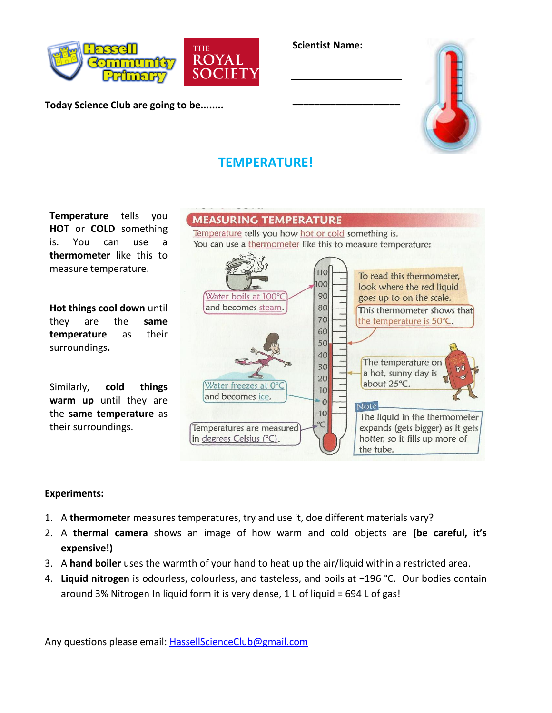

**Today Science Club are going to be........**



**\_\_\_\_\_\_\_\_\_\_\_\_\_\_\_\_\_\_\_\_**



## **TEMPERATURE!**

**Temperature** tells you **HOT** or **COLD** something is. You can use a **thermometer** like this to measure temperature.

**Hot things cool down** until they are the **same temperature** as their surroundings**.**

Similarly, **cold things warm up** until they are the **same temperature** as their surroundings.



## **Experiments:**

- 1. A **thermometer** measures temperatures, try and use it, doe different materials vary?
- 2. A **thermal camera** shows an image of how warm and cold objects are **(be careful, it's expensive!)**
- 3. A **hand boiler** uses the warmth of your hand to heat up the air/liquid within a restricted area.
- 4. **Liquid nitrogen** is odourless, colourless, and tasteless, and boils at −196 °C. Our bodies contain around 3% Nitrogen In liquid form it is very dense, 1 L of liquid = 694 L of gas!

Any questions please email: [HassellScienceClub@gmail.com](mailto:HassellScienceClub@gmail.com)